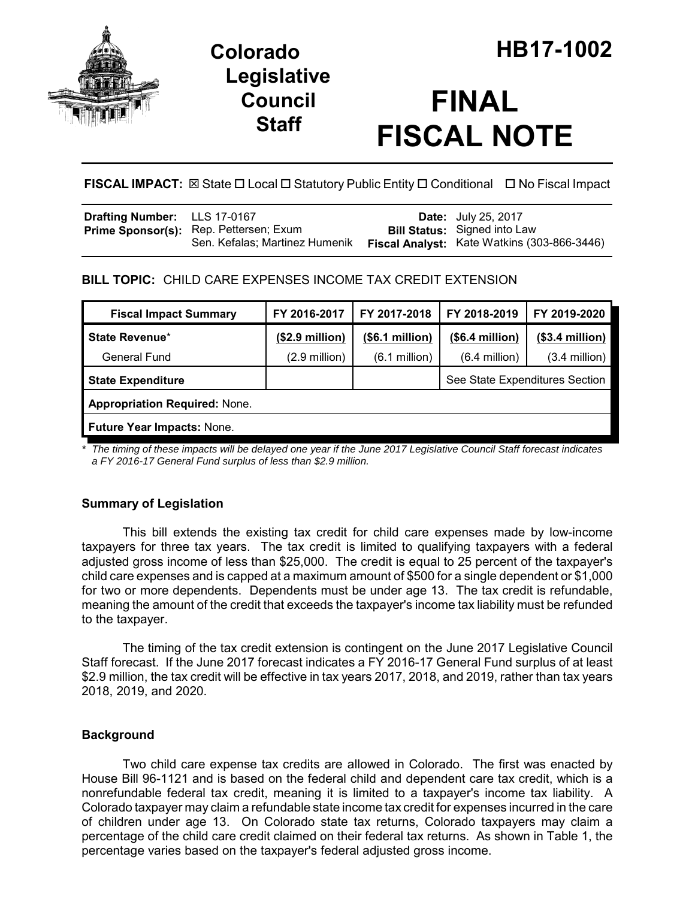

## **Legislative Council Staff**

# **FINAL FISCAL NOTE**

**FISCAL IMPACT:** ⊠ State □ Local □ Statutory Public Entity □ Conditional □ No Fiscal Impact

| Drafting Number: LLS 17-0167 |                                               | <b>Date:</b> July 25, 2017                  |
|------------------------------|-----------------------------------------------|---------------------------------------------|
|                              | <b>Prime Sponsor(s):</b> Rep. Pettersen; Exum | <b>Bill Status:</b> Signed into Law         |
|                              | Sen. Kefalas; Martinez Humenik                | Fiscal Analyst: Kate Watkins (303-866-3446) |

## **BILL TOPIC:** CHILD CARE EXPENSES INCOME TAX CREDIT EXTENSION

| <b>Fiscal Impact Summary</b>         | FY 2016-2017            | FY 2017-2018    | FY 2018-2019                   | FY 2019-2020     |  |  |  |
|--------------------------------------|-------------------------|-----------------|--------------------------------|------------------|--|--|--|
| <b>State Revenue*</b>                | $($2.9\text{ million})$ | (\$6.1 million) | (\$6.4 million)                | $($3.4$ million) |  |  |  |
| General Fund                         | $(2.9 \text{ million})$ | $(6.1$ million) | $(6.4$ million)                | $(3.4$ million)  |  |  |  |
| <b>State Expenditure</b>             |                         |                 | See State Expenditures Section |                  |  |  |  |
| <b>Appropriation Required: None.</b> |                         |                 |                                |                  |  |  |  |
| Future Year Impacts: None.           |                         |                 |                                |                  |  |  |  |

*\* The timing of these impacts will be delayed one year if the June 2017 Legislative Council Staff forecast indicates a FY 2016-17 General Fund surplus of less than \$2.9 million.*

### **Summary of Legislation**

This bill extends the existing tax credit for child care expenses made by low-income taxpayers for three tax years. The tax credit is limited to qualifying taxpayers with a federal adjusted gross income of less than \$25,000. The credit is equal to 25 percent of the taxpayer's child care expenses and is capped at a maximum amount of \$500 for a single dependent or \$1,000 for two or more dependents. Dependents must be under age 13. The tax credit is refundable, meaning the amount of the credit that exceeds the taxpayer's income tax liability must be refunded to the taxpayer.

The timing of the tax credit extension is contingent on the June 2017 Legislative Council Staff forecast. If the June 2017 forecast indicates a FY 2016-17 General Fund surplus of at least \$2.9 million, the tax credit will be effective in tax years 2017, 2018, and 2019, rather than tax years 2018, 2019, and 2020.

#### **Background**

Two child care expense tax credits are allowed in Colorado. The first was enacted by House Bill 96-1121 and is based on the federal child and dependent care tax credit, which is a nonrefundable federal tax credit, meaning it is limited to a taxpayer's income tax liability. A Colorado taxpayer may claim a refundable state income tax credit for expenses incurred in the care of children under age 13. On Colorado state tax returns, Colorado taxpayers may claim a percentage of the child care credit claimed on their federal tax returns. As shown in Table 1, the percentage varies based on the taxpayer's federal adjusted gross income.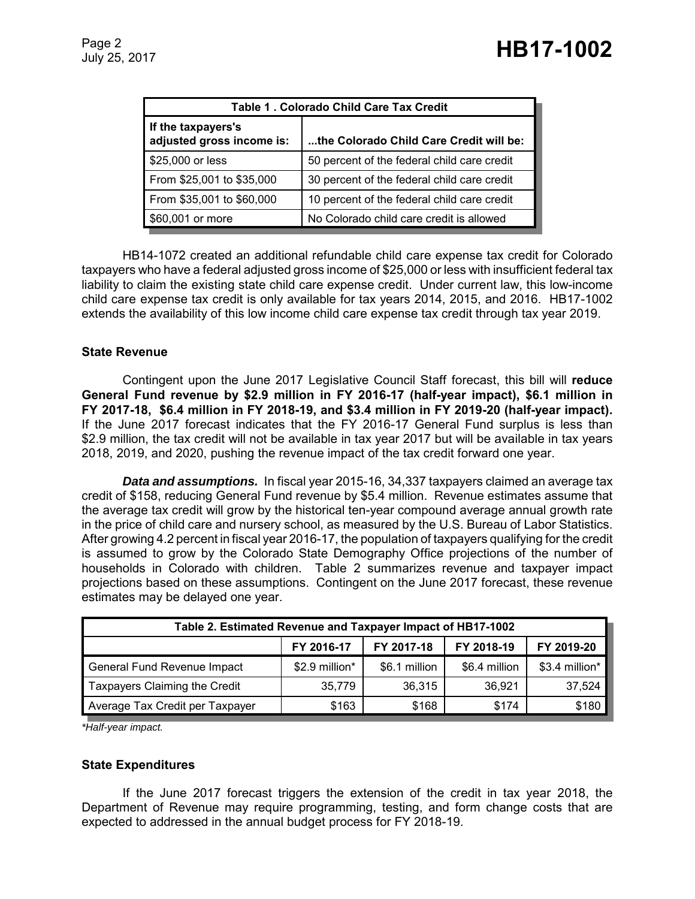| Table 1 . Colorado Child Care Tax Credit        |                                             |  |  |  |
|-------------------------------------------------|---------------------------------------------|--|--|--|
| If the taxpayers's<br>adjusted gross income is: | the Colorado Child Care Credit will be:     |  |  |  |
| \$25,000 or less                                | 50 percent of the federal child care credit |  |  |  |
| From \$25,001 to \$35,000                       | 30 percent of the federal child care credit |  |  |  |
| From \$35,001 to \$60,000                       | 10 percent of the federal child care credit |  |  |  |
| \$60,001 or more                                | No Colorado child care credit is allowed    |  |  |  |

HB14-1072 created an additional refundable child care expense tax credit for Colorado taxpayers who have a federal adjusted gross income of \$25,000 or less with insufficient federal tax liability to claim the existing state child care expense credit. Under current law, this low-income child care expense tax credit is only available for tax years 2014, 2015, and 2016. HB17-1002 extends the availability of this low income child care expense tax credit through tax year 2019.

#### **State Revenue**

Contingent upon the June 2017 Legislative Council Staff forecast, this bill will **reduce General Fund revenue by \$2.9 million in FY 2016-17 (half-year impact), \$6.1 million in FY 2017-18, \$6.4 million in FY 2018-19, and \$3.4 million in FY 2019-20 (half-year impact).**  If the June 2017 forecast indicates that the FY 2016-17 General Fund surplus is less than \$2.9 million, the tax credit will not be available in tax year 2017 but will be available in tax years 2018, 2019, and 2020, pushing the revenue impact of the tax credit forward one year.

*Data and assumptions.* In fiscal year 2015-16, 34,337 taxpayers claimed an average tax credit of \$158, reducing General Fund revenue by \$5.4 million. Revenue estimates assume that the average tax credit will grow by the historical ten-year compound average annual growth rate in the price of child care and nursery school, as measured by the U.S. Bureau of Labor Statistics. After growing 4.2 percent in fiscal year 2016-17, the population of taxpayers qualifying for the credit is assumed to grow by the Colorado State Demography Office projections of the number of households in Colorado with children. Table 2 summarizes revenue and taxpayer impact projections based on these assumptions. Contingent on the June 2017 forecast, these revenue estimates may be delayed one year.

| Table 2. Estimated Revenue and Taxpayer Impact of HB17-1002 |                |               |               |                |  |  |  |
|-------------------------------------------------------------|----------------|---------------|---------------|----------------|--|--|--|
|                                                             | FY 2016-17     | FY 2017-18    | FY 2018-19    | FY 2019-20     |  |  |  |
| General Fund Revenue Impact                                 | \$2.9 million* | \$6.1 million | \$6.4 million | \$3.4 million* |  |  |  |
| Taxpayers Claiming the Credit                               | 35.779         | 36,315        | 36,921        | 37,524         |  |  |  |
| Average Tax Credit per Taxpayer                             | \$163          | \$168         | \$174         | \$180          |  |  |  |

*\*Half-year impact.*

#### **State Expenditures**

If the June 2017 forecast triggers the extension of the credit in tax year 2018, the Department of Revenue may require programming, testing, and form change costs that are expected to addressed in the annual budget process for FY 2018-19.